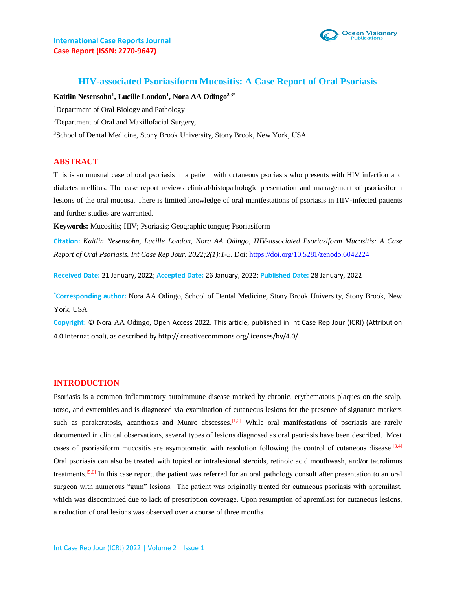



## **HIV-associated Psoriasiform Mucositis: A Case Report of Oral Psoriasis**

**Kaitlin Nesensohn<sup>1</sup> , Lucille London<sup>1</sup> , Nora AA Odingo2,3\***

<sup>1</sup>Department of Oral Biology and Pathology

<sup>2</sup>Department of Oral and Maxillofacial Surgery,

<sup>3</sup>School of Dental Medicine, Stony Brook University, Stony Brook, New York, USA

#### **ABSTRACT**

This is an unusual case of oral psoriasis in a patient with cutaneous psoriasis who presents with HIV infection and diabetes mellitus. The case report reviews clinical/histopathologic presentation and management of psoriasiform lesions of the oral mucosa. There is limited knowledge of oral manifestations of psoriasis in HIV-infected patients and further studies are warranted.

**Keywords:** Mucositis; HIV; Psoriasis; Geographic tongue; Psoriasiform

**Citation:** *Kaitlin Nesensohn, Lucille London, Nora AA Odingo, HIV-associated Psoriasiform Mucositis: A Case Report of Oral Psoriasis. Int Case Rep Jour. 2022;2(1):1-5.* Doi:<https://doi.org/10.5281/zenodo.6042224>

**Received Date:** 21 January, 2022; **Accepted Date:** 26 January, 2022; **Published Date:** 28 January, 2022

**\*Corresponding author:** Nora AA Odingo, School of Dental Medicine, Stony Brook University, Stony Brook, New York, USA

**Copyright:** © Nora AA Odingo, Open Access 2022. This article, published in Int Case Rep Jour (ICRJ) (Attribution 4.0 International), as described by http:// creativecommons.org/licenses/by/4.0/.

 $\_$  ,  $\_$  ,  $\_$  ,  $\_$  ,  $\_$  ,  $\_$  ,  $\_$  ,  $\_$  ,  $\_$  ,  $\_$  ,  $\_$  ,  $\_$  ,  $\_$  ,  $\_$  ,  $\_$  ,  $\_$  ,  $\_$  ,  $\_$  ,  $\_$  ,  $\_$  ,  $\_$  ,  $\_$  ,  $\_$  ,  $\_$  ,  $\_$  ,  $\_$  ,  $\_$  ,  $\_$  ,  $\_$  ,  $\_$  ,  $\_$  ,  $\_$  ,  $\_$  ,  $\_$  ,  $\_$  ,  $\_$  ,  $\_$  ,

#### **INTRODUCTION**

Psoriasis is a common inflammatory autoimmune disease marked by chronic, erythematous plaques on the scalp, torso, and extremities and is diagnosed via examination of cutaneous lesions for the presence of signature markers such as parakeratosis, acanthosis and Munro abscesses.<sup>[1,2]</sup> While oral manifestations of psoriasis are rarely documented in clinical observations, several types of lesions diagnosed as oral psoriasis have been described. Most cases of psoriasiform mucositis are asymptomatic with resolution following the control of cutaneous disease.<sup>[3,4]</sup> Oral psoriasis can also be treated with topical or intralesional steroids, retinoic acid mouthwash, and/or tacrolimus treatments.<sup>[5,6]</sup> In this case report, the patient was referred for an oral pathology consult after presentation to an oral surgeon with numerous "gum" lesions. The patient was originally treated for cutaneous psoriasis with apremilast, which was discontinued due to lack of prescription coverage. Upon resumption of apremilast for cutaneous lesions, a reduction of oral lesions was observed over a course of three months.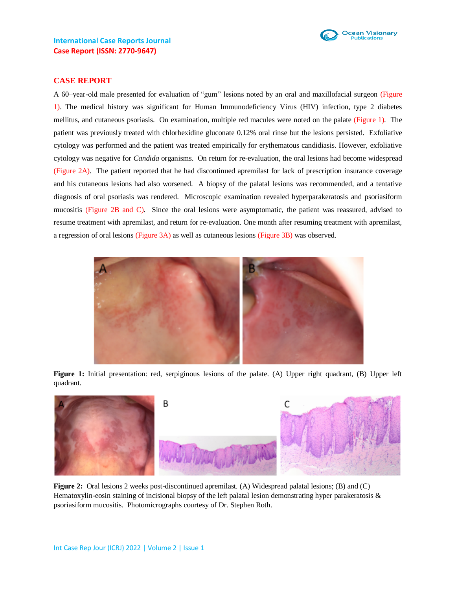

### **CASE REPORT**

A 60–year-old male presented for evaluation of "gum" lesions noted by an oral and maxillofacial surgeon (Figure 1). The medical history was significant for Human Immunodeficiency Virus (HIV) infection, type 2 diabetes mellitus, and cutaneous psoriasis. On examination, multiple red macules were noted on the palate (Figure 1). The patient was previously treated with chlorhexidine gluconate 0.12% oral rinse but the lesions persisted. Exfoliative cytology was performed and the patient was treated empirically for erythematous candidiasis. However, exfoliative cytology was negative for *Candida* organisms. On return for re-evaluation, the oral lesions had become widespread (Figure 2A). The patient reported that he had discontinued apremilast for lack of prescription insurance coverage and his cutaneous lesions had also worsened. A biopsy of the palatal lesions was recommended, and a tentative diagnosis of oral psoriasis was rendered. Microscopic examination revealed hyperparakeratosis and psoriasiform mucositis (Figure 2B and C). Since the oral lesions were asymptomatic, the patient was reassured, advised to resume treatment with apremilast, and return for re-evaluation. One month after resuming treatment with apremilast, a regression of oral lesions (Figure 3A) as well as cutaneous lesions (Figure 3B) was observed.



**Figure 1:** Initial presentation: red, serpiginous lesions of the palate. (A) Upper right quadrant, (B) Upper left quadrant.



**Figure 2:** Oral lesions 2 weeks post-discontinued apremilast. (A) Widespread palatal lesions; (B) and (C) Hematoxylin-eosin staining of incisional biopsy of the left palatal lesion demonstrating hyper parakeratosis & psoriasiform mucositis. Photomicrographs courtesy of Dr. Stephen Roth.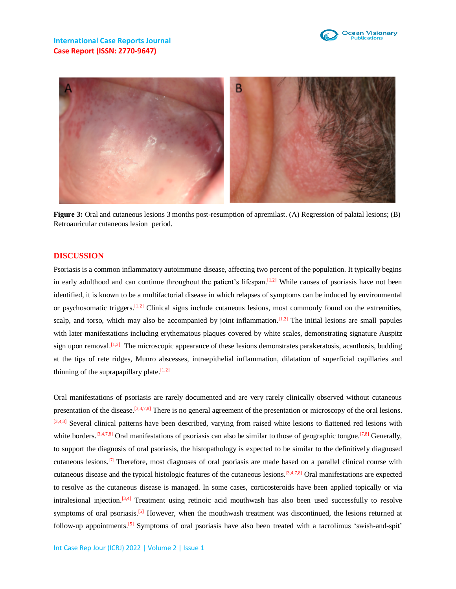



**Figure 3:** Oral and cutaneous lesions 3 months post-resumption of apremilast. (A) Regression of palatal lesions; (B) Retroauricular cutaneous lesion period.

#### **DISCUSSION**

Psoriasis is a common inflammatory autoimmune disease, affecting two percent of the population. It typically begins in early adulthood and can continue throughout the patient's lifespan.<sup>[1,2]</sup> While causes of psoriasis have not been identified, it is known to be a multifactorial disease in which relapses of symptoms can be induced by environmental or psychosomatic triggers.<sup>[1,2]</sup> Clinical signs include cutaneous lesions, most commonly found on the extremities, scalp, and torso, which may also be accompanied by joint inflammation.<sup>[1,2]</sup> The initial lesions are small papules with later manifestations including erythematous plaques covered by white scales, demonstrating signature Auspitz sign upon removal.<sup>[1,2]</sup> The microscopic appearance of these lesions demonstrates parakeratosis, acanthosis, budding at the tips of rete ridges, Munro abscesses, intraepithelial inflammation, dilatation of superficial capillaries and thinning of the suprapapillary plate.  $[1,2]$ 

Oral manifestations of psoriasis are rarely documented and are very rarely clinically observed without cutaneous presentation of the disease.<sup>[3,4,7,8]</sup> There is no general agreement of the presentation or microscopy of the oral lesions.  $[3,4,8]$  Several clinical patterns have been described, varying from raised white lesions to flattened red lesions with white borders.<sup>[3,4,7,8]</sup> Oral manifestations of psoriasis can also be similar to those of geographic tongue.<sup>[7,8]</sup> Generally, to support the diagnosis of oral psoriasis, the histopathology is expected to be similar to the definitively diagnosed cutaneous lesions.<sup>[7]</sup> Therefore, most diagnoses of oral psoriasis are made based on a parallel clinical course with cutaneous disease and the typical histologic features of the cutaneous lesions.  $[3,4,7,8]$  Oral manifestations are expected to resolve as the cutaneous disease is managed. In some cases, corticosteroids have been applied topically or via intralesional injection.<sup>[3,4]</sup> Treatment using retinoic acid mouthwash has also been used successfully to resolve symptoms of oral psoriasis.<sup>[5]</sup> However, when the mouthwash treatment was discontinued, the lesions returned at follow-up appointments.<sup>[5]</sup> Symptoms of oral psoriasis have also been treated with a tacrolimus 'swish-and-spit'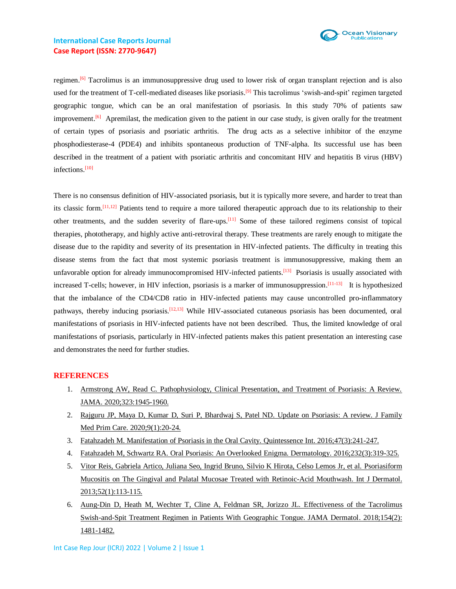

## **International Case Reports Journal Case Report (ISSN: 2770-9647)**

regimen.<sup>[6]</sup> Tacrolimus is an immunosuppressive drug used to lower risk of organ transplant rejection and is also used for the treatment of T-cell-mediated diseases like psoriasis.<sup>[9]</sup> This tacrolimus 'swish-and-spit' regimen targeted geographic tongue, which can be an oral manifestation of psoriasis. In this study 70% of patients saw improvement.<sup>[6]</sup> Apremilast, the medication given to the patient in our case study, is given orally for the treatment of certain types of psoriasis and psoriatic arthritis. The drug acts as a selective inhibitor of the enzyme phosphodiesterase-4 (PDE4) and inhibits spontaneous production of TNF-alpha. Its successful use has been described in the treatment of a patient with psoriatic arthritis and concomitant HIV and hepatitis B virus (HBV) infections. [10]

There is no consensus definition of HIV-associated psoriasis, but it is typically more severe, and harder to treat than its classic form.<sup>[11,12]</sup> Patients tend to require a more tailored therapeutic approach due to its relationship to their other treatments, and the sudden severity of flare-ups.<sup>[11]</sup> Some of these tailored regimens consist of topical therapies, phototherapy, and highly active anti-retroviral therapy. These treatments are rarely enough to mitigate the disease due to the rapidity and severity of its presentation in HIV-infected patients. The difficulty in treating this disease stems from the fact that most systemic psoriasis treatment is immunosuppressive, making them an unfavorable option for already immunocompromised HIV-infected patients.<sup>[13]</sup> Psoriasis is usually associated with increased T-cells; however, in HIV infection, psoriasis is a marker of immunosuppression.<sup>[11-13]</sup> It is hypothesized that the imbalance of the CD4/CD8 ratio in HIV-infected patients may cause uncontrolled pro-inflammatory pathways, thereby inducing psoriasis.<sup>[12,13]</sup> While HIV-associated cutaneous psoriasis has been documented, oral manifestations of psoriasis in HIV-infected patients have not been described. Thus, the limited knowledge of oral manifestations of psoriasis, particularly in HIV-infected patients makes this patient presentation an interesting case and demonstrates the need for further studies.

#### **REFERENCES**

- 1. Armstrong AW, Read C. [Pathophysiology, Clinical Presentation, and Treatment of Psoriasis: A Review.](https://pubmed.ncbi.nlm.nih.gov/32427307/)  [JAMA. 2020;323:1945-1960.](https://pubmed.ncbi.nlm.nih.gov/32427307/)
- 2. Rajguru JP, Maya D, Kumar D, Suri P, Bhardwaj S, Patel ND. [Update on Psoriasis: A review. J Family](https://pubmed.ncbi.nlm.nih.gov/32110559/)  [Med Prim Care. 2020;9\(1\):20-24.](https://pubmed.ncbi.nlm.nih.gov/32110559/)
- 3. Fatahzadeh M. Manifestation of Psoriasis [in the Oral Cavity. Quintessence Int.](https://pubmed.ncbi.nlm.nih.gov/26665263/) 2016;47(3):241-247.
- 4. [Fatahzadeh M, Schwartz RA. Oral Psoriasis: An Overlooked Enigma. Dermatology. 2016;232\(3\):319-325.](https://pubmed.ncbi.nlm.nih.gov/27035486/)
- 5. [Vitor Reis, Gabriela Artico, Juliana Seo, Ingrid Bruno, Silvio K Hirota, Celso Lemos Jr, et al. Psoriasiform](https://pubmed.ncbi.nlm.nih.gov/23278619/)  Mucositis [on The Gingival and Palatal Mucosae Treated with Retinoic-Acid Mouthwash. Int J Dermatol.](https://pubmed.ncbi.nlm.nih.gov/23278619/) [2013;52\(1\):113-115.](https://pubmed.ncbi.nlm.nih.gov/23278619/)
- 6. Aung-Din D, Heath M, Wechter [T, Cline A, Feldman SR, Jorizzo JL. Effectiveness of the Tacrolimus](https://www.ncbi.nlm.nih.gov/pmc/articles/PMC6583324/)  [Swish-and-Spit Treatment Regimen in Patients With Geographic Tongue. JAMA Dermatol. 2018;154\(2\):](https://www.ncbi.nlm.nih.gov/pmc/articles/PMC6583324/) [1481-1482.](https://www.ncbi.nlm.nih.gov/pmc/articles/PMC6583324/)